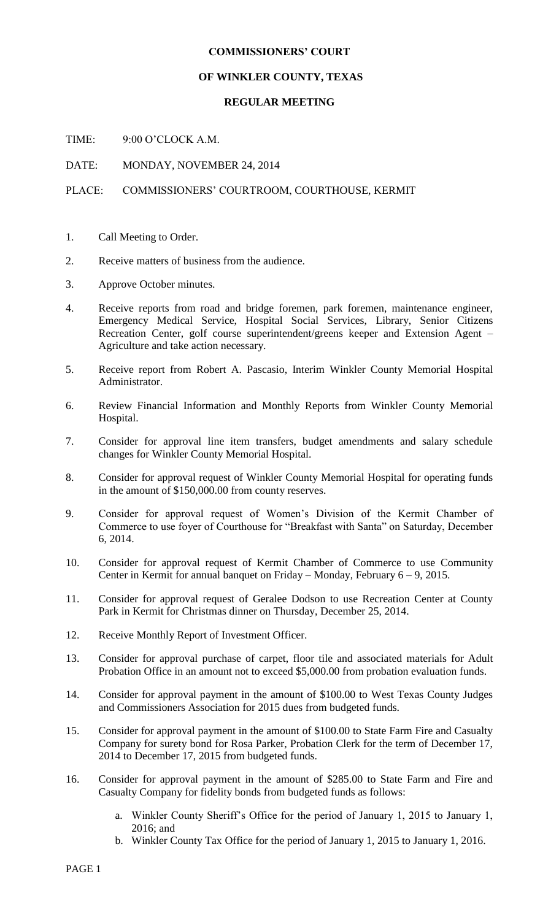## **COMMISSIONERS' COURT**

## **OF WINKLER COUNTY, TEXAS**

## **REGULAR MEETING**

TIME: 9:00 O'CLOCK A.M.

DATE: MONDAY, NOVEMBER 24, 2014

## PLACE: COMMISSIONERS' COURTROOM, COURTHOUSE, KERMIT

- 1. Call Meeting to Order.
- 2. Receive matters of business from the audience.
- 3. Approve October minutes.
- 4. Receive reports from road and bridge foremen, park foremen, maintenance engineer, Emergency Medical Service, Hospital Social Services, Library, Senior Citizens Recreation Center, golf course superintendent/greens keeper and Extension Agent – Agriculture and take action necessary.
- 5. Receive report from Robert A. Pascasio, Interim Winkler County Memorial Hospital Administrator.
- 6. Review Financial Information and Monthly Reports from Winkler County Memorial Hospital.
- 7. Consider for approval line item transfers, budget amendments and salary schedule changes for Winkler County Memorial Hospital.
- 8. Consider for approval request of Winkler County Memorial Hospital for operating funds in the amount of \$150,000.00 from county reserves.
- 9. Consider for approval request of Women's Division of the Kermit Chamber of Commerce to use foyer of Courthouse for "Breakfast with Santa" on Saturday, December 6, 2014.
- 10. Consider for approval request of Kermit Chamber of Commerce to use Community Center in Kermit for annual banquet on Friday – Monday, February 6 – 9, 2015.
- 11. Consider for approval request of Geralee Dodson to use Recreation Center at County Park in Kermit for Christmas dinner on Thursday, December 25, 2014.
- 12. Receive Monthly Report of Investment Officer.
- 13. Consider for approval purchase of carpet, floor tile and associated materials for Adult Probation Office in an amount not to exceed \$5,000.00 from probation evaluation funds.
- 14. Consider for approval payment in the amount of \$100.00 to West Texas County Judges and Commissioners Association for 2015 dues from budgeted funds.
- 15. Consider for approval payment in the amount of \$100.00 to State Farm Fire and Casualty Company for surety bond for Rosa Parker, Probation Clerk for the term of December 17, 2014 to December 17, 2015 from budgeted funds.
- 16. Consider for approval payment in the amount of \$285.00 to State Farm and Fire and Casualty Company for fidelity bonds from budgeted funds as follows:
	- a. Winkler County Sheriff's Office for the period of January 1, 2015 to January 1, 2016; and
	- b. Winkler County Tax Office for the period of January 1, 2015 to January 1, 2016.